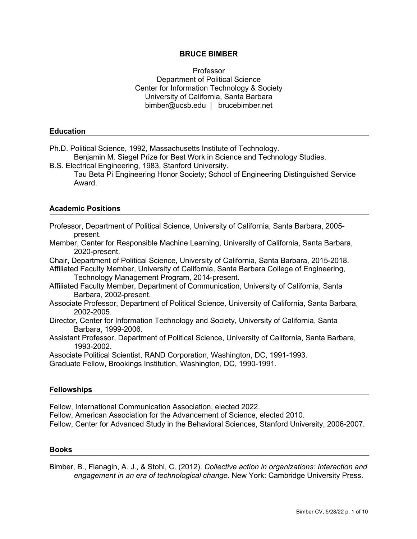# **BRUCE BIMBER**

Professor Department of Political Science Center for Information Technology & Society University of California, Santa Barbara bimber@ucsb.edu | brucebimber.net

### **Education**

Ph.D. Political Science, 1992, Massachusetts Institute of Technology.

Benjamin M. Siegel Prize for Best Work in Science and Technology Studies.

- B.S. Electrical Engineering, 1983, Stanford University.
	- Tau Beta Pi Engineering Honor Society; School of Engineering Distinguished Service Award.

## **Academic Positions**

- Professor, Department of Political Science, University of California, Santa Barbara, 2005 present.
- Member, Center for Responsible Machine Learning, University of California, Santa Barbara, 2020-present.
- Chair, Department of Political Science, University of California, Santa Barbara, 2015-2018.

Affiliated Faculty Member, University of California, Santa Barbara College of Engineering, Technology Management Program, 2014-present.

- Affiliated Faculty Member, Department of Communication, University of California, Santa Barbara, 2002-present.
- Associate Professor, Department of Political Science, University of California, Santa Barbara, 2002-2005.
- Director, Center for Information Technology and Society, University of California, Santa Barbara, 1999-2006.
- Assistant Professor, Department of Political Science, University of California, Santa Barbara, 1993-2002.

Associate Political Scientist, RAND Corporation, Washington, DC, 1991-1993.

Graduate Fellow, Brookings Institution, Washington, DC, 1990-1991.

# **Fellowships**

Fellow, International Communication Association, elected 2022.

Fellow, American Association for the Advancement of Science, elected 2010.

Fellow, Center for Advanced Study in the Behavioral Sciences, Stanford University, 2006-2007.

## **Books**

Bimber, B., Flanagin, A. J., & Stohl, C. (2012). *Collective action in organizations: Interaction and engagement in an era of technological change.* New York: Cambridge University Press.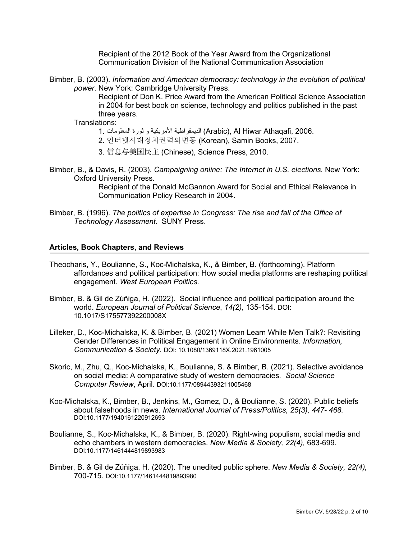Recipient of the 2012 Book of the Year Award from the Organizational Communication Division of the National Communication Association

Bimber, B. (2003). *Information and American democracy: technology in the evolution of political power*. New York: Cambridge University Press.

> Recipient of Don K. Price Award from the American Political Science Association in 2004 for best book on science, technology and politics published in the past three years.

Translations:

- 2006. AI Hiwar Athaqafi, 2006. (Arabic), Al Hiwar Athaqafi, 2006
- 2. 인터넷시대정치권력의변동 (Korean), Samin Books, 2007.
- 3. 信息与美国民主 (Chinese), Science Press, 2010.
- Bimber, B., & Davis, R. (2003). *Campaigning online: The Internet in U.S. elections.* New York: Oxford University Press.

Recipient of the Donald McGannon Award for Social and Ethical Relevance in Communication Policy Research in 2004.

Bimber, B. (1996). *The politics of expertise in Congress: The rise and fall of the Office of Technology Assessment*. SUNY Press.

# **Articles, Book Chapters, and Reviews**

- Theocharis, Y., Boulianne, S., Koc-Michalska, K., & Bimber, B. (forthcoming). Platform affordances and political participation: How social media platforms are reshaping political engagement. *West European Politics*.
- Bimber, B. & Gil de Zúñiga, H. (2022). Social influence and political participation around the world. *European Journal of Political Science*, *14(2),* 135-154. DOI: 10.1017/S175577392200008X
- Lilleker, D., Koc-Michalska, K. & Bimber, B. (2021) Women Learn While Men Talk?: Revisiting Gender Differences in Political Engagement in Online Environments. *Information, Communication & Society*. DOI: 10.1080/1369118X.2021.1961005
- Skoric, M., Zhu, Q., Koc-Michalska, K., Boulianne, S. & Bimber, B. (2021). Selective avoidance on social media: A comparative study of western democracies*. Social Science Computer Review*, April. DOI:10.1177/08944393211005468
- Koc-Michalska, K., Bimber, B., Jenkins, M., Gomez, D., & Boulianne, S. (2020). Public beliefs about falsehoods in news. *International Journal of Press/Politics, 25(3), 447- 468.* DOI:10.1177/1940161220912693
- Boulianne, S., Koc-Michalska, K., & Bimber, B. (2020). Right-wing populism, social media and echo chambers in western democracies. *New Media & Society, 22(4),* 683-699*.* DOI:10.1177/1461444819893983
- Bimber, B. & Gil de Zúñiga, H. (2020). The unedited public sphere. *New Media & Society, 22(4),* 700-715*.* DOI:10.1177/1461444819893980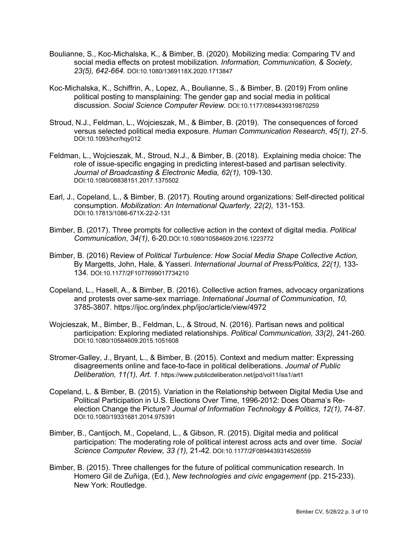- Boulianne, S., Koc-Michalska, K., & Bimber, B. (2020). Mobilizing media: Comparing TV and social media effects on protest mobilization. *Information, Communication, & Society, 23(5), 642-664.* DOI:10.1080/1369118X.2020.1713847
- Koc-Michalska, K., Schiffrin, A., Lopez, A., Boulianne, S., & Bimber, B. (2019) From online political posting to mansplaining: The gender gap and social media in political discussion. *Social Science Computer Review.* DOI:10.1177/0894439319870259
- Stroud, N.J., Feldman, L., Wojcieszak, M., & Bimber, B. (2019). The consequences of forced versus selected political media exposure. *Human Communication Research*, *45(1),* 27-5. DOI:10.1093/hcr/hqy012
- Feldman, L., Wojcieszak, M., Stroud, N.J., & Bimber, B. (2018). Explaining media choice: The role of issue-specific engaging in predicting interest-based and partisan selectivity. *Journal of Broadcasting & Electronic Media, 62(1),* 109-130. DOI:10.1080/08838151.2017.1375502
- Earl, J., Copeland, L., & Bimber, B. (2017). Routing around organizations: Self-directed political consumption. *Mobilization: An International Quarterly, 22(2),* 131-153*.* DOI:10.17813/1086-671X-22-2-131
- Bimber, B. (2017). Three prompts for collective action in the context of digital media. *Political Communication*, *34(1),* 6-20.DOI:10.1080/10584609.2016.1223772
- Bimber, B. (2016) Review of *Political Turbulence: How Social Media Shape Collective Action,*  By Margetts, John, Hale, & Yasseri. *International Journal of Press/Politics, 22(1),* 133- 134. DOI:10.1177/2F1077699017734210
- Copeland, L., Hasell, A., & Bimber, B. (2016). Collective action frames, advocacy organizations and protests over same-sex marriage. *International Journal of Communication*, *10,* 3785-3807. https://ijoc.org/index.php/ijoc/article/view/4972
- Wojcieszak, M., Bimber, B., Feldman, L., & Stroud, N. (2016). Partisan news and political participation: Exploring mediated relationships. *Political Communication, 33(2),* 241-260*.* DOI:10.1080/10584609.2015.1051608
- Stromer-Galley, J., Bryant, L., & Bimber, B. (2015). Context and medium matter: Expressing disagreements online and face-to-face in political deliberations. *Journal of Public Deliberation, 11(1), Art. 1*. https://www.publicdeliberation.net/jpd/vol11/iss1/art1
- Copeland, L. & Bimber, B. (2015). Variation in the Relationship between Digital Media Use and Political Participation in U.S. Elections Over Time, 1996-2012: Does Obama's Reelection Change the Picture? *Journal of Information Technology & Politics*, *12(1),* 74-87. DOI:10.1080/19331681.2014.975391
- Bimber, B., Cantijoch, M., Copeland, L., & Gibson, R. (2015). Digital media and political participation: The moderating role of political interest across acts and over time. *Social Science Computer Review, 33 (1),* 21-42. DOI:10.1177/2F0894439314526559
- Bimber, B. (2015). Three challenges for the future of political communication research. In Homero Gil de Zuñíga, (Ed.), *New technologies and civic engagement* (pp. 215-233). New York: Routledge.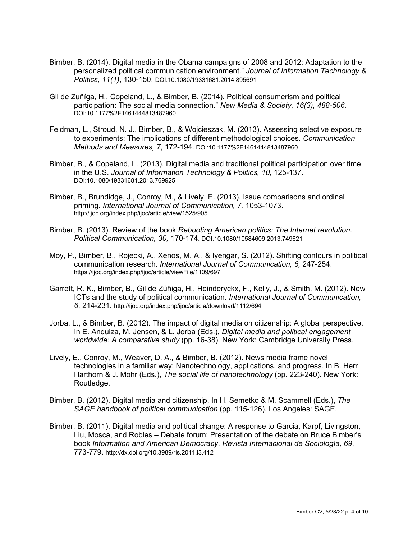- Bimber, B. (2014). Digital media in the Obama campaigns of 2008 and 2012: Adaptation to the personalized political communication environment." *Journal of Information Technology & Politics, 11(1)*, 130-150. DOI:10.1080/19331681.2014.895691
- Gil de Zuñíga, H., Copeland, L., & Bimber, B. (2014). Political consumerism and political participation: The social media connection." *New Media & Society, 16(3), 488-506.* DOI:10.1177%2F1461444813487960
- Feldman, L., Stroud, N. J., Bimber, B., & Wojcieszak, M. (2013). Assessing selective exposure to experiments: The implications of different methodological choices. *Communication Methods and Measures, 7*, 172-194. DOI:10.1177%2F1461444813487960
- Bimber, B., & Copeland, L. (2013). Digital media and traditional political participation over time in the U.S. *Journal of Information Technology & Politics, 10*, 125-137. DOI:10.1080/19331681.2013.769925
- Bimber, B., Brundidge, J., Conroy, M., & Lively, E. (2013). Issue comparisons and ordinal priming. *International Journal of Communication, 7,* 1053-1073. http://ijoc.org/index.php/ijoc/article/view/1525/905
- Bimber, B. (2013). Review of the book *Rebooting American politics: The Internet revolution*. *Political Communication, 30,* 170-174. DOI:10.1080/10584609.2013.749621
- Moy, P., Bimber, B., Rojecki, A., Xenos, M. A., & Iyengar, S. (2012). Shifting contours in political communication research. *International Journal of Communication, 6,* 247-254. https://ijoc.org/index.php/ijoc/article/viewFile/1109/697
- Garrett, R. K., Bimber, B., Gil de Zúñiga, H., Heinderyckx, F., Kelly, J., & Smith, M. (2012). New ICTs and the study of political communication. *International Journal of Communication, 6*, 214-231. http://ijoc.org/index.php/ijoc/article/download/1112/694
- Jorba, L., & Bimber, B. (2012). The impact of digital media on citizenship: A global perspective. In E. Anduiza, M. Jensen, & L. Jorba (Eds.), *Digital media and political engagement worldwide: A comparative study* (pp. 16-38). New York: Cambridge University Press.
- Lively, E., Conroy, M., Weaver, D. A., & Bimber, B. (2012). News media frame novel technologies in a familiar way: Nanotechnology, applications, and progress. In B. Herr Harthorn & J. Mohr (Eds.), *The social life of nanotechnology* (pp. 223-240). New York: Routledge.
- Bimber, B. (2012). Digital media and citizenship. In H. Semetko & M. Scammell (Eds.), *The SAGE handbook of political communication* (pp. 115-126). Los Angeles: SAGE.
- Bimber, B. (2011). Digital media and political change: A response to Garcia, Karpf, Livingston, Liu, Mosca, and Robles – Debate forum: Presentation of the debate on Bruce Bimber's book *Information and American Democracy*. *Revista Internacional de Sociología, 69*, 773-779. http://dx.doi.org/10.3989/ris.2011.i3.412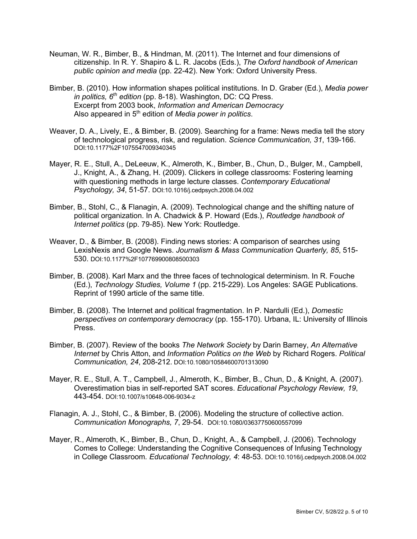- Neuman, W. R., Bimber, B., & Hindman, M. (2011). The Internet and four dimensions of citizenship. In R. Y. Shapiro & L. R. Jacobs (Eds.), *The Oxford handbook of American public opinion and media* (pp. 22-42). New York: Oxford University Press.
- Bimber, B. (2010). How information shapes political institutions. In D. Graber (Ed.), *Media power in politics, 6th edition* (pp. 8-18). Washington, DC: CQ Press. Excerpt from 2003 book, *Information and American Democracy* Also appeared in 5th edition of *Media power in politics*.
- Weaver, D. A., Lively, E., & Bimber, B. (2009). Searching for a frame: News media tell the story of technological progress, risk, and regulation. *Science Communication, 31*, 139-166. DOI:10.1177%2F1075547009340345
- Mayer, R. E., Stull, A., DeLeeuw, K., Almeroth, K., Bimber, B., Chun, D., Bulger, M., Campbell, J., Knight, A., & Zhang, H. (2009). Clickers in college classrooms: Fostering learning with questioning methods in large lecture classes. *Contemporary Educational Psychology, 34*, 51-57. DOI:10.1016/j.cedpsych.2008.04.002
- Bimber, B., Stohl, C., & Flanagin, A. (2009). Technological change and the shifting nature of political organization. In A. Chadwick & P. Howard (Eds.), *Routledge handbook of Internet politics* (pp. 79-85). New York: Routledge.
- Weaver, D., & Bimber, B. (2008). Finding news stories: A comparison of searches using LexisNexis and Google News. *Journalism & Mass Communication Quarterly, 85*, 515- 530. DOI:10.1177%2F107769900808500303
- Bimber, B. (2008). Karl Marx and the three faces of technological determinism. In R. Fouche (Ed.), *Technology Studies, Volume 1* (pp. 215-229). Los Angeles: SAGE Publications. Reprint of 1990 article of the same title.
- Bimber, B. (2008). The Internet and political fragmentation. In P. Nardulli (Ed.), *Domestic perspectives on contemporary democracy* (pp. 155-170). Urbana, IL: University of Illinois Press.
- Bimber, B. (2007). Review of the books *The Network Society* by Darin Barney, *An Alternative Internet* by Chris Atton, and *Information Politics on the Web* by Richard Rogers. *Political Communication, 24*, 208-212. DOI:10.1080/10584600701313090
- Mayer, R. E., Stull, A. T., Campbell, J., Almeroth, K., Bimber, B., Chun, D., & Knight, A. (2007). Overestimation bias in self-reported SAT scores. *Educational Psychology Review, 19*, 443-454. DOI:10.1007/s10648-006-9034-z
- Flanagin, A. J., Stohl, C., & Bimber, B. (2006). Modeling the structure of collective action. *Communication Monographs, 7*, 29-54. DOI:10.1080/03637750600557099
- Mayer, R., Almeroth, K., Bimber, B., Chun, D., Knight, A., & Campbell, J. (2006). Technology Comes to College: Understanding the Cognitive Consequences of Infusing Technology in College Classroom*. Educational Technology, 4*: 48-53. DOI:10.1016/j.cedpsych.2008.04.002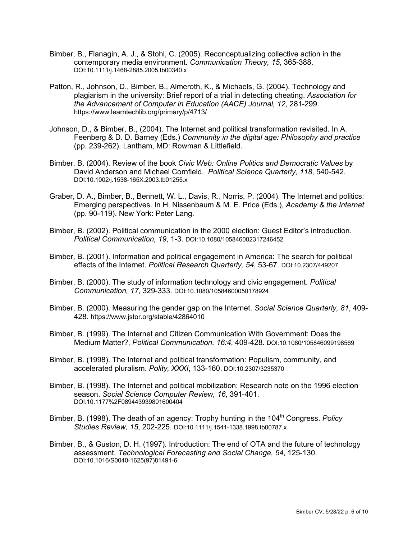- Bimber, B., Flanagin, A. J., & Stohl, C. (2005). Reconceptualizing collective action in the contemporary media environment. *Communication Theory, 15*, 365-388. DOI:10.1111/j.1468-2885.2005.tb00340.x
- Patton, R., Johnson, D., Bimber, B., Almeroth, K., & Michaels, G. (2004). Technology and plagiarism in the university: Brief report of a trial in detecting cheating. *Association for the Advancement of Computer in Education (AACE) Journal, 12*, 281-299. https://www.learntechlib.org/primary/p/4713/
- Johnson, D., & Bimber, B., (2004). The Internet and political transformation revisited. In A. Feenberg & D. D. Barney (Eds.) *Community in the digital age: Philosophy and practice*  (pp. 239-262). Lantham, MD: Rowman & Littlefield.
- Bimber, B. (2004). Review of the book *Civic Web: Online Politics and Democratic Values* by David Anderson and Michael Cornfield. *Political Science Quarterly, 118*, 540-542. DOI:10.1002/j.1538-165X.2003.tb01255.x
- Graber, D. A., Bimber, B., Bennett, W. L., Davis, R., Norris, P. (2004). The Internet and politics: Emerging perspectives. In H. Nissenbaum & M. E. Price (Eds.), *Academy & the Internet* (pp. 90-119). New York: Peter Lang.
- Bimber, B. (2002). Political communication in the 2000 election: Guest Editor's introduction. *Political Communication, 19*, 1-3. DOI:10.1080/105846002317246452
- Bimber, B. (2001). Information and political engagement in America: The search for political effects of the Internet. *Political Research Quarterly, 54*, 53-67. DOI:10.2307/449207
- Bimber, B. (2000). The study of information technology and civic engagement. *Political Communication, 17*, 329-333. DOI:10.1080/10584600050178924
- Bimber, B. (2000). Measuring the gender gap on the Internet. *Social Science Quarterly, 81*, 409- 428. https://www.jstor.org/stable/42864010
- Bimber, B. (1999). The Internet and Citizen Communication With Government: Does the Medium Matter?, *Political Communication, 16:4*, 409-428. DOI:10.1080/105846099198569
- Bimber, B. (1998). The Internet and political transformation: Populism, community, and accelerated pluralism. *Polity, XXXI*, 133-160. DOI:10.2307/3235370
- Bimber, B. (1998). The Internet and political mobilization: Research note on the 1996 election season. *Social Science Computer Review, 16*, 391-401. DOI:10.1177%2F089443939801600404
- Bimber, B. (1998). The death of an agency: Trophy hunting in the 104<sup>th</sup> Congress. *Policy Studies Review, 15*, 202-225. DOI:10.1111/j.1541-1338.1998.tb00787.x
- Bimber, B., & Guston, D. H. (1997). Introduction: The end of OTA and the future of technology assessment. *Technological Forecasting and Social Change, 54*, 125-130. DOI:10.1016/S0040-1625(97)81491-6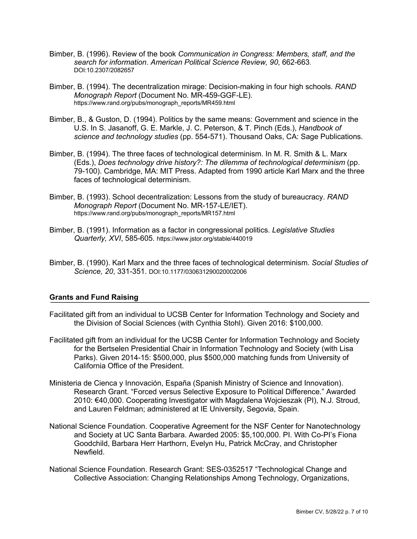- Bimber, B. (1996). Review of the book *Communication in Congress: Members, staff, and the search for information*. *American Political Science Review, 90*, 662-663. DOI:10.2307/2082657
- Bimber, B. (1994). The decentralization mirage: Decision-making in four high schools. *RAND Monograph Report* (Document No. MR-459-GGF-LE). https://www.rand.org/pubs/monograph\_reports/MR459.html
- Bimber, B., & Guston, D. (1994). Politics by the same means: Government and science in the U.S. In S. Jasanoff, G. E. Markle, J. C. Peterson, & T. Pinch (Eds.), *Handbook of science and technology studies* (pp. 554-571). Thousand Oaks, CA: Sage Publications.
- Bimber, B. (1994). The three faces of technological determinism. In M. R. Smith & L. Marx (Eds.), *Does technology drive history?: The dilemma of technological determinism* (pp. 79-100). Cambridge, MA: MIT Press. Adapted from 1990 article Karl Marx and the three faces of technological determinism.
- Bimber, B. (1993). School decentralization: Lessons from the study of bureaucracy. *RAND Monograph Report* (Document No. MR-157-LE/IET). https://www.rand.org/pubs/monograph\_reports/MR157.html
- Bimber, B. (1991). Information as a factor in congressional politics. *Legislative Studies Quarterly, XVI*, 585-605. https://www.jstor.org/stable/440019
- Bimber, B. (1990). Karl Marx and the three faces of technological determinism. *Social Studies of Science, 20*, 331-351. DOI:10.1177/030631290020002006

# **Grants and Fund Raising**

- Facilitated gift from an individual to UCSB Center for Information Technology and Society and the Division of Social Sciences (with Cynthia Stohl). Given 2016: \$100,000.
- Facilitated gift from an individual for the UCSB Center for Information Technology and Society for the Bertselen Presidential Chair in Information Technology and Society (with Lisa Parks). Given 2014-15: \$500,000, plus \$500,000 matching funds from University of California Office of the President.
- Ministeria de Cienca y Innovación, España (Spanish Ministry of Science and Innovation). Research Grant. "Forced versus Selective Exposure to Political Difference." Awarded 2010: €40,000. Cooperating Investigator with Magdalena Wojcieszak (PI), N.J. Stroud, and Lauren Feldman; administered at IE University, Segovia, Spain.
- National Science Foundation. Cooperative Agreement for the NSF Center for Nanotechnology and Society at UC Santa Barbara. Awarded 2005: \$5,100,000. PI. With Co-PI's Fiona Goodchild, Barbara Herr Harthorn, Evelyn Hu, Patrick McCray, and Christopher Newfield.
- National Science Foundation. Research Grant: SES-0352517 "Technological Change and Collective Association: Changing Relationships Among Technology, Organizations,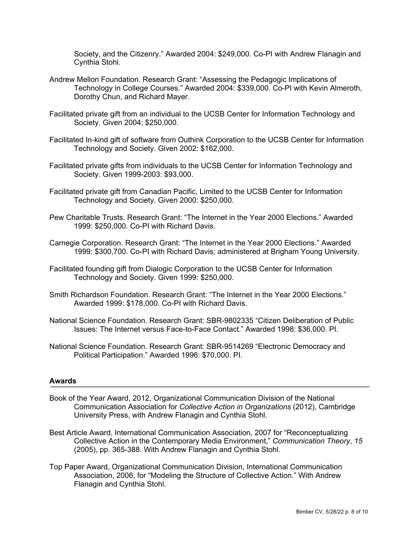Society, and the Citizenry." Awarded 2004: \$249,000. Co-PI with Andrew Flanagin and Cynthia Stohl.

- Andrew Mellon Foundation. Research Grant: "Assessing the Pedagogic Implications of Technology in College Courses." Awarded 2004: \$339,000. Co-PI with Kevin Almeroth, Dorothy Chun, and Richard Mayer.
- Facilitated private gift from an individual to the UCSB Center for Information Technology and Society. Given 2004: \$250,000.
- Facilitated In-kind gift of software from Outhink Corporation to the UCSB Center for Information Technology and Society. Given 2002: \$162,000.
- Facilitated private gifts from individuals to the UCSB Center for Information Technology and Society. Given 1999-2003: \$93,000.
- Facilitated private gift from Canadian Pacific, Limited to the UCSB Center for Information Technology and Society. Given 2000: \$250,000.
- Pew Charitable Trusts. Research Grant: "The Internet in the Year 2000 Elections." Awarded 1999: \$250,000. Co-PI with Richard Davis.
- Carnegie Corporation. Research Grant: "The Internet in the Year 2000 Elections." Awarded 1999: \$300,700. Co-PI with Richard Davis; administered at Brigham Young University.
- Facilitated founding gift from Dialogic Corporation to the UCSB Center for Information Technology and Society. Given 1999: \$250,000.
- Smith Richardson Foundation. Research Grant: "The Internet in the Year 2000 Elections." Awarded 1999: \$178,000. Co-PI with Richard Davis.
- National Science Foundation. Research Grant: SBR-9802335 "Citizen Deliberation of Public Issues: The Internet versus Face-to-Face Contact." Awarded 1998: \$36,000. PI.
- National Science Foundation. Research Grant: SBR-9514269 "Electronic Democracy and Political Participation." Awarded 1996: \$70,000. PI.

### **Awards**

- Book of the Year Award, 2012, Organizational Communication Division of the National Communication Association for *Collective Action in Organizations* (2012), Cambridge University Press, with Andrew Flanagin and Cynthia Stohl.
- Best Article Award, International Communication Association, 2007 for "Reconceptualizing Collective Action in the Contemporary Media Environment," *Communication Theory*, *15*  (2005), pp. 365-388. With Andrew Flanagin and Cynthia Stohl.
- Top Paper Award, Organizational Communication Division, International Communication Association, 2006, for "Modeling the Structure of Collective Action." With Andrew Flanagin and Cynthia Stohl.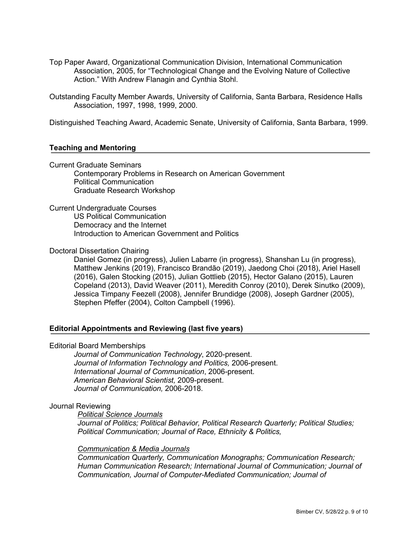- Top Paper Award, Organizational Communication Division, International Communication Association, 2005, for "Technological Change and the Evolving Nature of Collective Action." With Andrew Flanagin and Cynthia Stohl.
- Outstanding Faculty Member Awards, University of California, Santa Barbara, Residence Halls Association, 1997, 1998, 1999, 2000.

Distinguished Teaching Award, Academic Senate, University of California, Santa Barbara, 1999.

## **Teaching and Mentoring**

### Current Graduate Seminars

Contemporary Problems in Research on American Government Political Communication Graduate Research Workshop

Current Undergraduate Courses

US Political Communication Democracy and the Internet Introduction to American Government and Politics

Doctoral Dissertation Chairing

Daniel Gomez (in progress), Julien Labarre (in progress), Shanshan Lu (in progress), Matthew Jenkins (2019), Francisco Brandão (2019), Jaedong Choi (2018), Ariel Hasell (2016), Galen Stocking (2015), Julian Gottlieb (2015), Hector Galano (2015), Lauren Copeland (2013), David Weaver (2011), Meredith Conroy (2010), Derek Sinutko (2009), Jessica Timpany Feezell (2008), Jennifer Brundidge (2008), Joseph Gardner (2005), Stephen Pfeffer (2004), Colton Campbell (1996).

# **Editorial Appointments and Reviewing (last five years)**

### Editorial Board Memberships

*Journal of Communication Technology*, 2020-present. *Journal of Information Technology and Politics,* 2006-present. *International Journal of Communication*, 2006-present. *American Behavioral Scientist,* 2009-present. *Journal of Communication,* 2006-2018.

### Journal Reviewing

*Political Science Journals Journal of Politics; Political Behavior, Political Research Quarterly; Political Studies; Political Communication; Journal of Race, Ethnicity & Politics,* 

### *Communication & Media Journals*

*Communication Quarterly, Communication Monographs; Communication Research; Human Communication Research; International Journal of Communication; Journal of Communication, Journal of Computer-Mediated Communication; Journal of*